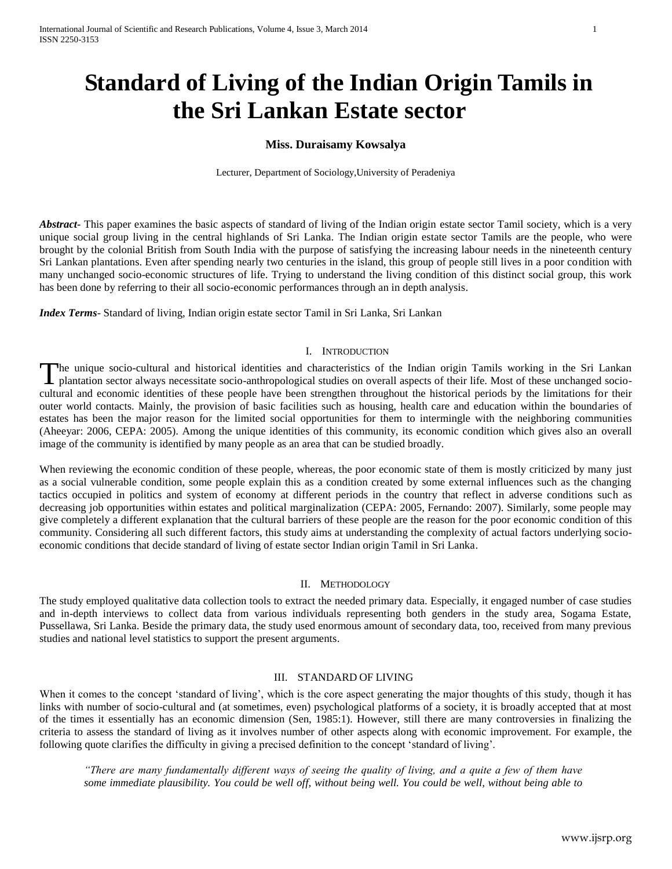# **Standard of Living of the Indian Origin Tamils in the Sri Lankan Estate sector**

# **Miss. Duraisamy Kowsalya**

Lecturer, Department of Sociology,University of Peradeniya

*Abstract* This paper examines the basic aspects of standard of living of the Indian origin estate sector Tamil society, which is a very unique social group living in the central highlands of Sri Lanka. The Indian origin estate sector Tamils are the people, who were brought by the colonial British from South India with the purpose of satisfying the increasing labour needs in the nineteenth century Sri Lankan plantations. Even after spending nearly two centuries in the island, this group of people still lives in a poor condition with many unchanged socio-economic structures of life. Trying to understand the living condition of this distinct social group, this work has been done by referring to their all socio-economic performances through an in depth analysis.

*Index Terms*- Standard of living, Indian origin estate sector Tamil in Sri Lanka, Sri Lankan

#### I. INTRODUCTION

he unique socio-cultural and historical identities and characteristics of the Indian origin Tamils working in the Sri Lankan The unique socio-cultural and historical identities and characteristics of the Indian origin Tamils working in the Sri Lankan<br>plantation sector always necessitate socio-anthropological studies on overall aspects of their l cultural and economic identities of these people have been strengthen throughout the historical periods by the limitations for their outer world contacts. Mainly, the provision of basic facilities such as housing, health care and education within the boundaries of estates has been the major reason for the limited social opportunities for them to intermingle with the neighboring communities (Aheeyar: 2006, CEPA: 2005). Among the unique identities of this community, its economic condition which gives also an overall image of the community is identified by many people as an area that can be studied broadly.

When reviewing the economic condition of these people, whereas, the poor economic state of them is mostly criticized by many just as a social vulnerable condition, some people explain this as a condition created by some external influences such as the changing tactics occupied in politics and system of economy at different periods in the country that reflect in adverse conditions such as decreasing job opportunities within estates and political marginalization (CEPA: 2005, Fernando: 2007). Similarly, some people may give completely a different explanation that the cultural barriers of these people are the reason for the poor economic condition of this community. Considering all such different factors, this study aims at understanding the complexity of actual factors underlying socioeconomic conditions that decide standard of living of estate sector Indian origin Tamil in Sri Lanka.

#### II. METHODOLOGY

The study employed qualitative data collection tools to extract the needed primary data. Especially, it engaged number of case studies and in-depth interviews to collect data from various individuals representing both genders in the study area, Sogama Estate, Pussellawa, Sri Lanka. Beside the primary data, the study used enormous amount of secondary data, too, received from many previous studies and national level statistics to support the present arguments.

#### III. STANDARD OF LIVING

When it comes to the concept 'standard of living', which is the core aspect generating the major thoughts of this study, though it has links with number of socio-cultural and (at sometimes, even) psychological platforms of a society, it is broadly accepted that at most of the times it essentially has an economic dimension (Sen, 1985:1). However, still there are many controversies in finalizing the criteria to assess the standard of living as it involves number of other aspects along with economic improvement. For example, the following quote clarifies the difficulty in giving a precised definition to the concept 'standard of living'.

*"There are many fundamentally different ways of seeing the quality of living, and a quite a few of them have some immediate plausibility. You could be well off, without being well. You could be well, without being able to*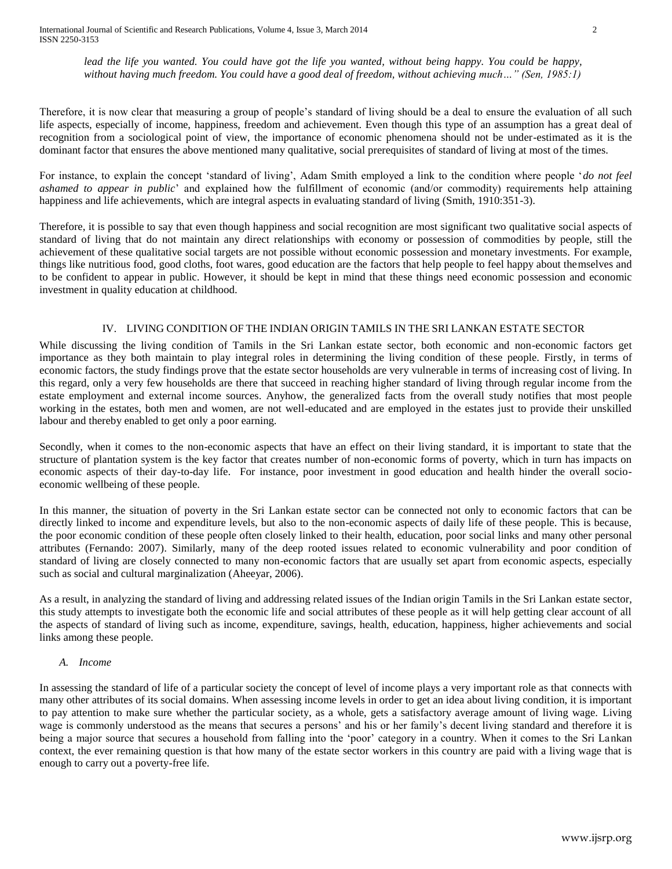*lead the life you wanted. You could have got the life you wanted, without being happy. You could be happy, without having much freedom. You could have a good deal of freedom, without achieving much…" (Sen, 1985:1)*

Therefore, it is now clear that measuring a group of people's standard of living should be a deal to ensure the evaluation of all such life aspects, especially of income, happiness, freedom and achievement. Even though this type of an assumption has a great deal of recognition from a sociological point of view, the importance of economic phenomena should not be under-estimated as it is the dominant factor that ensures the above mentioned many qualitative, social prerequisites of standard of living at most of the times.

For instance, to explain the concept 'standard of living', Adam Smith employed a link to the condition where people '*do not feel ashamed to appear in public*' and explained how the fulfillment of economic (and/or commodity) requirements help attaining happiness and life achievements, which are integral aspects in evaluating standard of living (Smith, 1910:351-3).

Therefore, it is possible to say that even though happiness and social recognition are most significant two qualitative social aspects of standard of living that do not maintain any direct relationships with economy or possession of commodities by people, still the achievement of these qualitative social targets are not possible without economic possession and monetary investments. For example, things like nutritious food, good cloths, foot wares, good education are the factors that help people to feel happy about themselves and to be confident to appear in public. However, it should be kept in mind that these things need economic possession and economic investment in quality education at childhood.

# IV. LIVING CONDITION OF THE INDIAN ORIGIN TAMILS IN THE SRI LANKAN ESTATE SECTOR

While discussing the living condition of Tamils in the Sri Lankan estate sector, both economic and non-economic factors get importance as they both maintain to play integral roles in determining the living condition of these people. Firstly, in terms of economic factors, the study findings prove that the estate sector households are very vulnerable in terms of increasing cost of living. In this regard, only a very few households are there that succeed in reaching higher standard of living through regular income from the estate employment and external income sources. Anyhow, the generalized facts from the overall study notifies that most people working in the estates, both men and women, are not well-educated and are employed in the estates just to provide their unskilled labour and thereby enabled to get only a poor earning.

Secondly, when it comes to the non-economic aspects that have an effect on their living standard, it is important to state that the structure of plantation system is the key factor that creates number of non-economic forms of poverty, which in turn has impacts on economic aspects of their day-to-day life. For instance, poor investment in good education and health hinder the overall socioeconomic wellbeing of these people.

In this manner, the situation of poverty in the Sri Lankan estate sector can be connected not only to economic factors that can be directly linked to income and expenditure levels, but also to the non-economic aspects of daily life of these people. This is because, the poor economic condition of these people often closely linked to their health, education, poor social links and many other personal attributes (Fernando: 2007). Similarly, many of the deep rooted issues related to economic vulnerability and poor condition of standard of living are closely connected to many non-economic factors that are usually set apart from economic aspects, especially such as social and cultural marginalization (Aheeyar, 2006).

As a result, in analyzing the standard of living and addressing related issues of the Indian origin Tamils in the Sri Lankan estate sector, this study attempts to investigate both the economic life and social attributes of these people as it will help getting clear account of all the aspects of standard of living such as income, expenditure, savings, health, education, happiness, higher achievements and social links among these people.

## *A. Income*

In assessing the standard of life of a particular society the concept of level of income plays a very important role as that connects with many other attributes of its social domains. When assessing income levels in order to get an idea about living condition, it is important to pay attention to make sure whether the particular society, as a whole, gets a satisfactory average amount of living wage. Living wage is commonly understood as the means that secures a persons' and his or her family's decent living standard and therefore it is being a major source that secures a household from falling into the 'poor' category in a country. When it comes to the Sri Lankan context, the ever remaining question is that how many of the estate sector workers in this country are paid with a living wage that is enough to carry out a poverty-free life.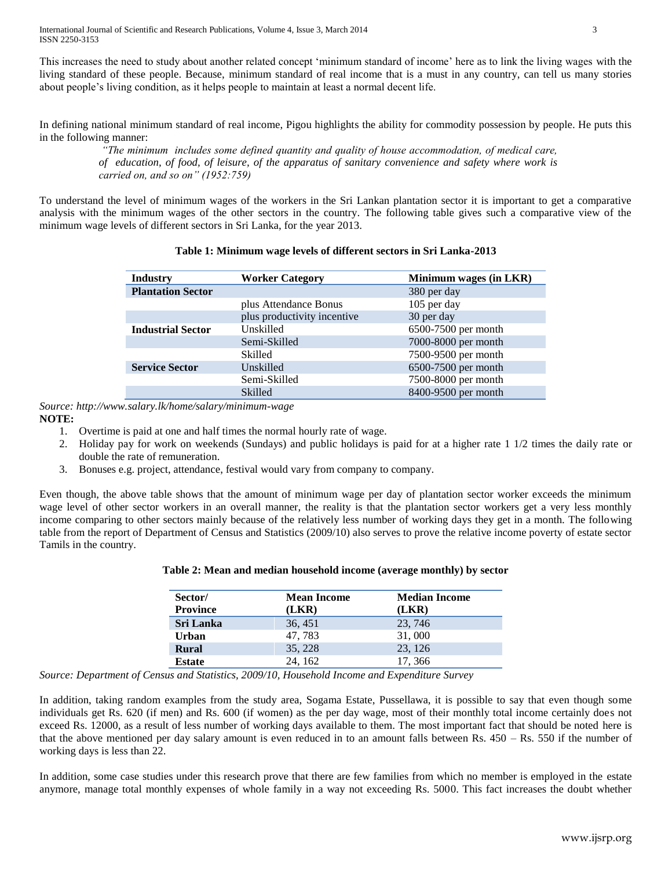International Journal of Scientific and Research Publications, Volume 4, Issue 3, March 2014 3 ISSN 2250-3153

This increases the need to study about another related concept 'minimum standard of income' here as to link the living wages with the living standard of these people. Because, minimum standard of real income that is a must in any country, can tell us many stories about people's living condition, as it helps people to maintain at least a normal decent life.

In defining national minimum standard of real income, Pigou highlights the ability for commodity possession by people. He puts this in the following manner:

*"The minimum includes some defined quantity and quality of house accommodation, of medical care, of education, of food, of leisure, of the apparatus of sanitary convenience and safety where work is carried on, and so on" (1952:759)* 

To understand the level of minimum wages of the workers in the Sri Lankan plantation sector it is important to get a comparative analysis with the minimum wages of the other sectors in the country. The following table gives such a comparative view of the minimum wage levels of different sectors in Sri Lanka, for the year 2013.

| <b>Industry</b>          | <b>Worker Category</b>      | Minimum wages (in LKR) |  |
|--------------------------|-----------------------------|------------------------|--|
| <b>Plantation Sector</b> |                             | 380 per day            |  |
|                          | plus Attendance Bonus       | 105 per day            |  |
|                          | plus productivity incentive | 30 per day             |  |
| <b>Industrial Sector</b> | Unskilled                   | 6500-7500 per month    |  |
|                          | Semi-Skilled                | 7000-8000 per month    |  |
|                          | Skilled                     | 7500-9500 per month    |  |
| <b>Service Sector</b>    | Unskilled                   | 6500-7500 per month    |  |
|                          | Semi-Skilled                | 7500-8000 per month    |  |
|                          | <b>Skilled</b>              | 8400-9500 per month    |  |

# **Table 1: Minimum wage levels of different sectors in Sri Lanka-2013**

*Source: http://www.salary.lk/home/salary/minimum-wage* **NOTE:**

- 1. Overtime is paid at one and half times the normal hourly rate of wage.
- 2. Holiday pay for work on weekends (Sundays) and public holidays is paid for at a higher rate 1 1/2 times the daily rate or double the rate of remuneration.
- 3. Bonuses e.g. project, attendance, festival would vary from company to company.

Even though, the above table shows that the amount of minimum wage per day of plantation sector worker exceeds the minimum wage level of other sector workers in an overall manner, the reality is that the plantation sector workers get a very less monthly income comparing to other sectors mainly because of the relatively less number of working days they get in a month. The following table from the report of Department of Census and Statistics (2009/10) also serves to prove the relative income poverty of estate sector Tamils in the country.

| Sector/<br><b>Province</b> | <b>Mean Income</b><br>(LKR) | <b>Median Income</b><br>(LKR) |
|----------------------------|-----------------------------|-------------------------------|
| <b>Sri Lanka</b>           | 36, 451                     | 23, 746                       |
| Urban                      | 47, 783                     | 31,000                        |
| <b>Rural</b>               | 35, 228                     | 23, 126                       |
| <b>Estate</b>              | 24, 162                     | 17, 366                       |

## **Table 2: Mean and median household income (average monthly) by sector**

*Source: Department of Census and Statistics, 2009/10, Household Income and Expenditure Survey*

In addition, taking random examples from the study area, Sogama Estate, Pussellawa, it is possible to say that even though some individuals get Rs. 620 (if men) and Rs. 600 (if women) as the per day wage, most of their monthly total income certainly does not exceed Rs. 12000, as a result of less number of working days available to them. The most important fact that should be noted here is that the above mentioned per day salary amount is even reduced in to an amount falls between Rs.  $450 - Rs$ . 550 if the number of working days is less than 22.

In addition, some case studies under this research prove that there are few families from which no member is employed in the estate anymore, manage total monthly expenses of whole family in a way not exceeding Rs. 5000. This fact increases the doubt whether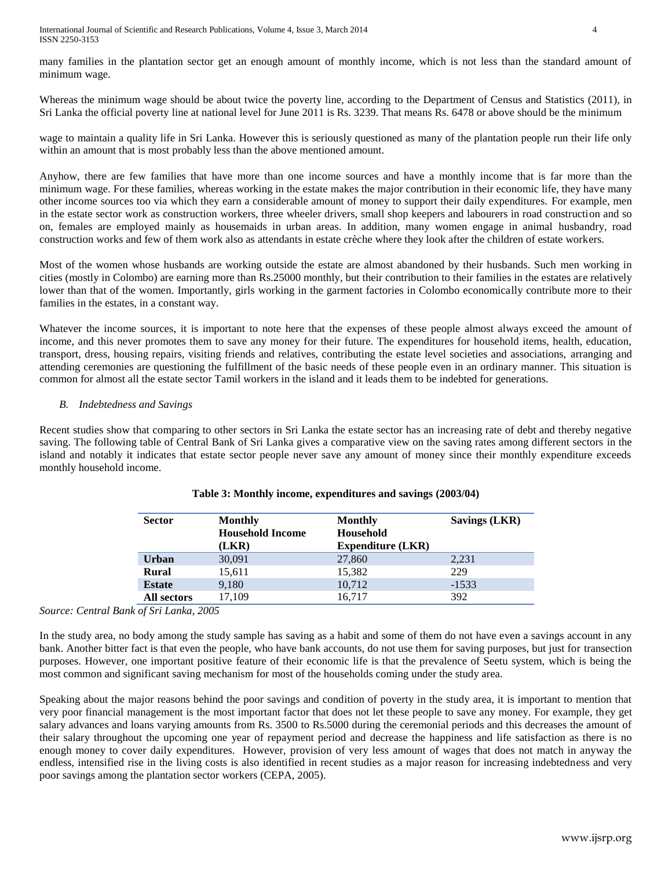International Journal of Scientific and Research Publications, Volume 4, Issue 3, March 2014 4 ISSN 2250-3153

many families in the plantation sector get an enough amount of monthly income, which is not less than the standard amount of minimum wage.

Whereas the minimum wage should be about twice the poverty line, according to the Department of Census and Statistics (2011), in Sri Lanka the official poverty line at national level for June 2011 is Rs. 3239. That means Rs. 6478 or above should be the minimum

wage to maintain a quality life in Sri Lanka. However this is seriously questioned as many of the plantation people run their life only within an amount that is most probably less than the above mentioned amount.

Anyhow, there are few families that have more than one income sources and have a monthly income that is far more than the minimum wage. For these families, whereas working in the estate makes the major contribution in their economic life, they have many other income sources too via which they earn a considerable amount of money to support their daily expenditures. For example, men in the estate sector work as construction workers, three wheeler drivers, small shop keepers and labourers in road construction and so on, females are employed mainly as housemaids in urban areas. In addition, many women engage in animal husbandry, road construction works and few of them work also as attendants in estate crèche where they look after the children of estate workers.

Most of the women whose husbands are working outside the estate are almost abandoned by their husbands. Such men working in cities (mostly in Colombo) are earning more than Rs.25000 monthly, but their contribution to their families in the estates are relatively lower than that of the women. Importantly, girls working in the garment factories in Colombo economically contribute more to their families in the estates, in a constant way.

Whatever the income sources, it is important to note here that the expenses of these people almost always exceed the amount of income, and this never promotes them to save any money for their future. The expenditures for household items, health, education, transport, dress, housing repairs, visiting friends and relatives, contributing the estate level societies and associations, arranging and attending ceremonies are questioning the fulfillment of the basic needs of these people even in an ordinary manner. This situation is common for almost all the estate sector Tamil workers in the island and it leads them to be indebted for generations.

## *B. Indebtedness and Savings*

Recent studies show that comparing to other sectors in Sri Lanka the estate sector has an increasing rate of debt and thereby negative saving. The following table of Central Bank of Sri Lanka gives a comparative view on the saving rates among different sectors in the island and notably it indicates that estate sector people never save any amount of money since their monthly expenditure exceeds monthly household income.

| <b>Sector</b> | <b>Monthly</b><br><b>Household Income</b><br>(LKR) | <b>Monthly</b><br>Household<br><b>Expenditure (LKR)</b> | Savings (LKR) |
|---------------|----------------------------------------------------|---------------------------------------------------------|---------------|
| <b>Urban</b>  | 30,091                                             | 27,860                                                  | 2,231         |
| <b>Rural</b>  | 15,611                                             | 15.382                                                  | 229           |
| <b>Estate</b> | 9,180                                              | 10,712                                                  | $-1533$       |
| All sectors   | 17.109                                             | 16,717                                                  | 392           |

## **Table 3: Monthly income, expenditures and savings (2003/04)**

*Source: Central Bank of Sri Lanka, 2005*

In the study area, no body among the study sample has saving as a habit and some of them do not have even a savings account in any bank. Another bitter fact is that even the people, who have bank accounts, do not use them for saving purposes, but just for transection purposes. However, one important positive feature of their economic life is that the prevalence of Seetu system, which is being the most common and significant saving mechanism for most of the households coming under the study area.

Speaking about the major reasons behind the poor savings and condition of poverty in the study area, it is important to mention that very poor financial management is the most important factor that does not let these people to save any money. For example, they get salary advances and loans varying amounts from Rs. 3500 to Rs.5000 during the ceremonial periods and this decreases the amount of their salary throughout the upcoming one year of repayment period and decrease the happiness and life satisfaction as there is no enough money to cover daily expenditures. However, provision of very less amount of wages that does not match in anyway the endless, intensified rise in the living costs is also identified in recent studies as a major reason for increasing indebtedness and very poor savings among the plantation sector workers (CEPA, 2005).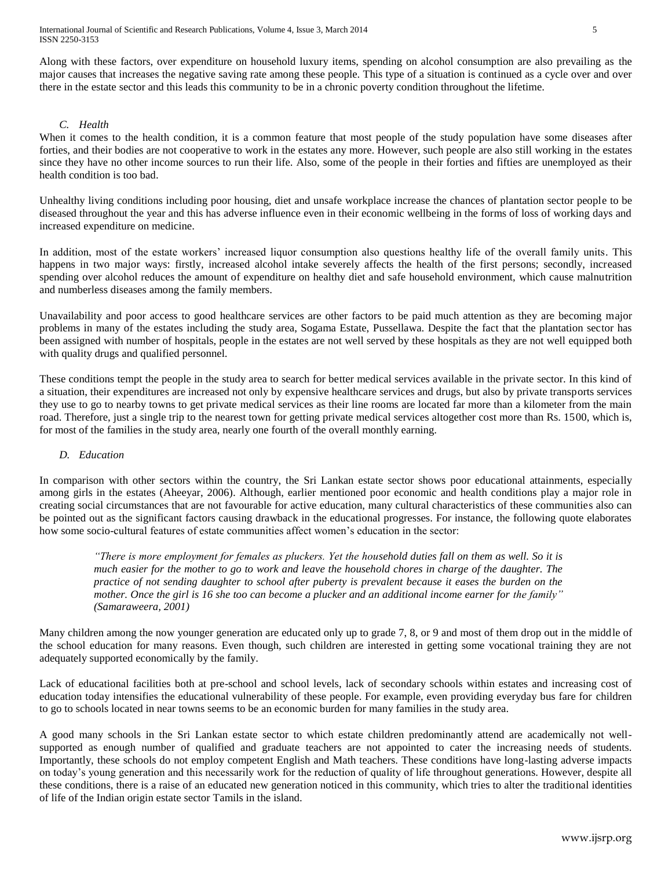Along with these factors, over expenditure on household luxury items, spending on alcohol consumption are also prevailing as the major causes that increases the negative saving rate among these people. This type of a situation is continued as a cycle over and over there in the estate sector and this leads this community to be in a chronic poverty condition throughout the lifetime.

# *C. Health*

When it comes to the health condition, it is a common feature that most people of the study population have some diseases after forties, and their bodies are not cooperative to work in the estates any more. However, such people are also still working in the estates since they have no other income sources to run their life. Also, some of the people in their forties and fifties are unemployed as their health condition is too bad.

Unhealthy living conditions including poor housing, diet and unsafe workplace increase the chances of plantation sector people to be diseased throughout the year and this has adverse influence even in their economic wellbeing in the forms of loss of working days and increased expenditure on medicine.

In addition, most of the estate workers' increased liquor consumption also questions healthy life of the overall family units. This happens in two major ways: firstly, increased alcohol intake severely affects the health of the first persons; secondly, increased spending over alcohol reduces the amount of expenditure on healthy diet and safe household environment, which cause malnutrition and numberless diseases among the family members.

Unavailability and poor access to good healthcare services are other factors to be paid much attention as they are becoming major problems in many of the estates including the study area, Sogama Estate, Pussellawa. Despite the fact that the plantation sector has been assigned with number of hospitals, people in the estates are not well served by these hospitals as they are not well equipped both with quality drugs and qualified personnel.

These conditions tempt the people in the study area to search for better medical services available in the private sector. In this kind of a situation, their expenditures are increased not only by expensive healthcare services and drugs, but also by private transports services they use to go to nearby towns to get private medical services as their line rooms are located far more than a kilometer from the main road. Therefore, just a single trip to the nearest town for getting private medical services altogether cost more than Rs. 1500, which is, for most of the families in the study area, nearly one fourth of the overall monthly earning.

# *D. Education*

In comparison with other sectors within the country, the Sri Lankan estate sector shows poor educational attainments, especially among girls in the estates (Aheeyar, 2006). Although, earlier mentioned poor economic and health conditions play a major role in creating social circumstances that are not favourable for active education, many cultural characteristics of these communities also can be pointed out as the significant factors causing drawback in the educational progresses. For instance, the following quote elaborates how some socio-cultural features of estate communities affect women's education in the sector:

*"There is more employment for females as pluckers. Yet the household duties fall on them as well. So it is much easier for the mother to go to work and leave the household chores in charge of the daughter. The practice of not sending daughter to school after puberty is prevalent because it eases the burden on the mother. Once the girl is 16 she too can become a plucker and an additional income earner for the family" (Samaraweera, 2001)*

Many children among the now younger generation are educated only up to grade 7, 8, or 9 and most of them drop out in the middle of the school education for many reasons. Even though, such children are interested in getting some vocational training they are not adequately supported economically by the family.

Lack of educational facilities both at pre-school and school levels, lack of secondary schools within estates and increasing cost of education today intensifies the educational vulnerability of these people. For example, even providing everyday bus fare for children to go to schools located in near towns seems to be an economic burden for many families in the study area.

A good many schools in the Sri Lankan estate sector to which estate children predominantly attend are academically not wellsupported as enough number of qualified and graduate teachers are not appointed to cater the increasing needs of students. Importantly, these schools do not employ competent English and Math teachers. These conditions have long-lasting adverse impacts on today's young generation and this necessarily work for the reduction of quality of life throughout generations. However, despite all these conditions, there is a raise of an educated new generation noticed in this community, which tries to alter the traditional identities of life of the Indian origin estate sector Tamils in the island.